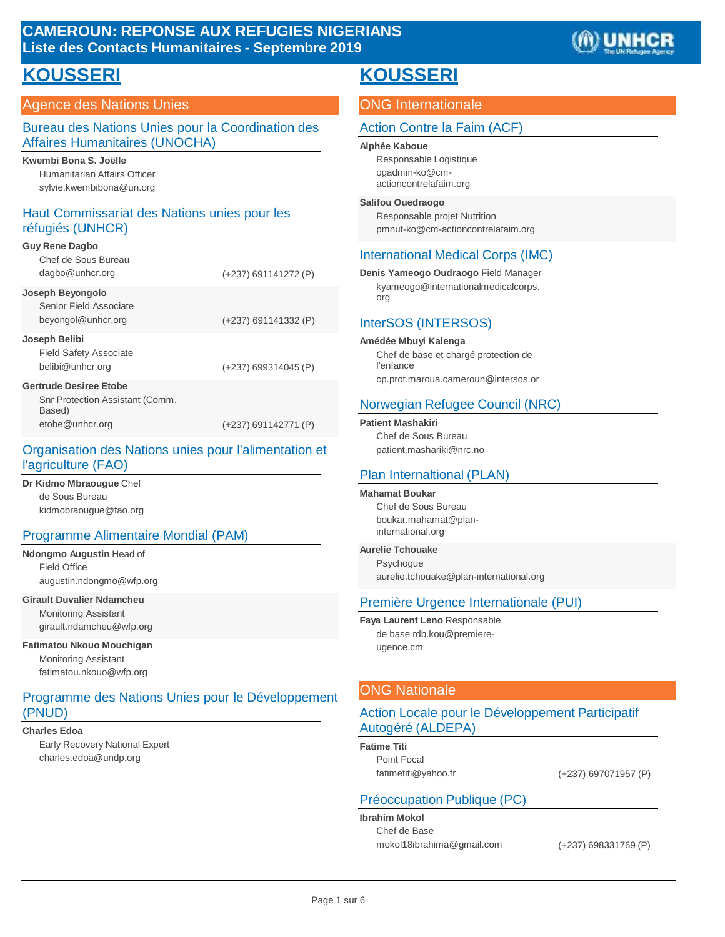# **CAMEROUN: REPONSE AUX REFUGIES NIGERIANS Liste des Contacts Humanitaires - Septembre 2019**



# **KOUSSERI**

### Agence des Nations Unies

#### Bureau des Nations Unies pour la Coordination des Affaires Humanitaires (UNOCHA)

#### **Kwembi Bona S. Joëlle**

Humanitarian Affairs Officer syl[vie.kwembibona@un.org](mailto:kwembibona@un.org)

### Haut Commissariat des Nations unies pour les réfugiés (UNHCR)

| <b>Guy Rene Dagbo</b>                     |                        |
|-------------------------------------------|------------------------|
| Chef de Sous Bureau                       |                        |
| dagbo@unhcr.org                           | (+237) 691141272 (P)   |
| Joseph Beyongolo                          |                        |
| Senior Field Associate                    |                        |
| beyongol@unhcr.org                        | (+237) 691141332 (P)   |
| Joseph Belibi                             |                        |
| <b>Field Safety Associate</b>             |                        |
| belibi@unhcr.org                          | $(+237)$ 699314045 (P) |
| <b>Gertrude Desiree Etobe</b>             |                        |
| Snr Protection Assistant (Comm.<br>Based) |                        |
| etobe@unhcr.org                           | (+237) 691142771 (P)   |

#### Organisation des Nations unies pour l'alimentation et l'agriculture (FAO)

**Dr Kidmo Mbraougue** Chef de Sous Burea[u](mailto:kidmobraougue@fao.org) [kidmobraougue@fao.org](mailto:kidmobraougue@fao.org)

#### Programme Alimentaire Mondial (PAM)

**Ndongmo Augustin** Head of Field Office augu[stin.ndongmo@wfp.org](mailto:ndongmo@wfp.org)

#### **Girault Duvalier Ndamcheu**

Monitoring Assistant giraul[t.ndamcheu@wfp.org](mailto:ndamcheu@wfp.org)

#### **Fatimatou Nkouo Mouchigan**

Monitoring Assistant fati[matou.nkouo@wfp.org](mailto:nkouo@wfp.org)

### Programme des Nations Unies pour le Développement (PNUD)

#### **Charles Edoa**

Early Recovery National Expert charle[s.edoa@undp.org](mailto:edoa@undp.org)

# **KOUSSERI**

# ONG Internationale

### Action Contre la Faim (ACF)

#### **Alphée Kaboue**

Responsable Logistiqu[e](mailto:ogadmin-ko@cm-) [ogadmin-ko@cm](mailto:ogadmin-ko@cm-)actioncontrelafaim.org

#### **Salifou Ouedraogo**

Responsable projet Nutrition [pmnut-ko@cm-actioncontrelafaim.org](mailto:pmnut-ko@cm-actioncontrelafaim.org)

### International Medical Corps (IMC)

**Denis Yameogo Oudraogo** Field Manage[r](mailto:kyameogo@internationalmedicalcorps) [kyameogo@internationalmedicalcorps](mailto:kyameogo@internationalmedicalcorps). org

#### InterSOS (INTERSOS)

**Amédée Mbuyi Kalenga**

Chef de base et chargé protection de l'enfance cp.prot.marou[a.cameroun@intersos.or](mailto:cameroun@intersos.or)

### Norwegian Refugee Council (NRC)

**Patient Mashakiri**

Chef de Sous Bureau p[atient.mashariki@nrc.no](mailto:mashariki@nrc.no)

### Plan Internaltional (PLAN)

#### **Mahamat Boukar**

Chef de Sous Bureau bou[kar.mahamat@plan](mailto:mahamat@plan-)international.org

#### **Aurelie Tchouake**

**Psychogue** aure[lie.tchouake@plan-international.org](mailto:tchouake@plan-international.org)

### Première Urgence Internationale (PUI)

**Faya Laurent Leno** Responsable de base rd[b.kou@premiere](mailto:kou@premiere-ugence.cm)[ugence.cm](mailto:kou@premiere-ugence.cm)

### ONG Nationale

### Action Locale pour le Développement Participatif Autogéré (ALDEPA)

**Fatime Titi** Point Focal

[fatimetiti@yahoo.fr](mailto:fatimetiti@yahoo.fr) (+237) 697071957 (P)

### Préoccupation Publique (PC)

**Ibrahim Mokol** Chef de Base [mokol18ibrahima@gmail.com](mailto:mokol18ibrahima@gmail.com) (+237) 698331769 (P)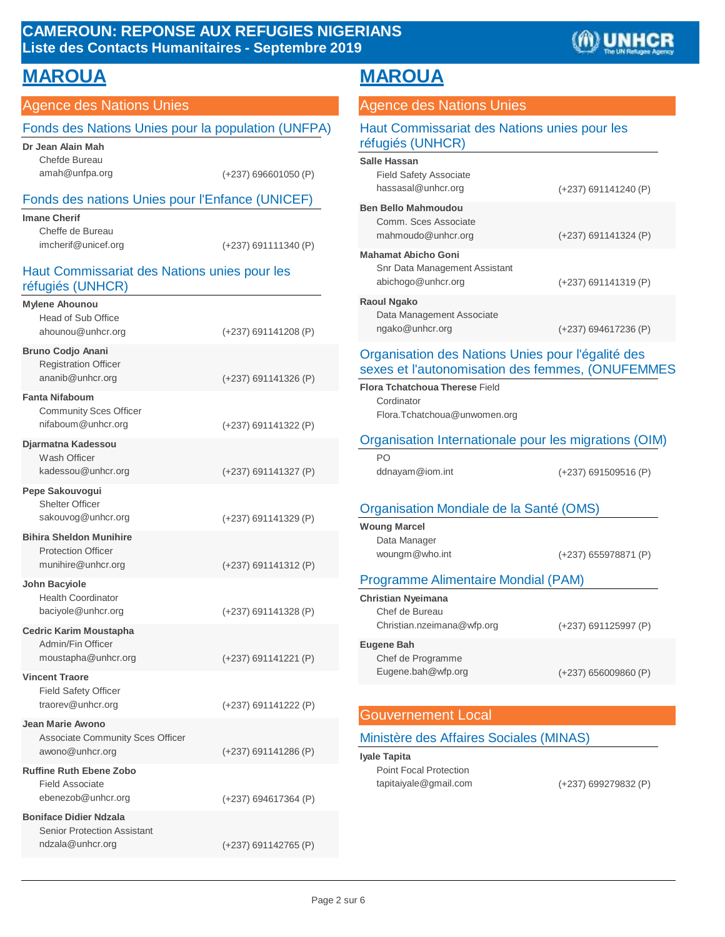# **CAMEROUN: REPONSE AUX REFUGIES NIGERIANS Liste des Contacts Humanitaires - Septembre 2019**



# **MAROUA MAROUA**

# Agence des Nations Unies

#### Fonds des Nations Unies pour la population (UNFPA) **Dr Jean Alain Mah**

| Jr Jean Alain Mah |                        |
|-------------------|------------------------|
| Chefde Bureau     |                        |
| amah@unfpa.org    | $(+237)$ 696601050 (P) |

#### Fonds des nations Unies pour l'Enfance (UNICEF)

| Imane Cherif        |                        |
|---------------------|------------------------|
| Cheffe de Bureau    |                        |
| imcherif@unicef.org | $(+237)$ 691111340 (P) |

### Haut Commissariat des Nations unies pour les réfugiés (UNHCR)

| <b>Mylene Ahounou</b><br>Head of Sub Office<br>ahounou@unhcr.org                        | (+237) 691141208 (P) |
|-----------------------------------------------------------------------------------------|----------------------|
| <b>Bruno Codjo Anani</b><br><b>Registration Officer</b><br>ananib@unhcr.org             | (+237) 691141326 (P) |
| <b>Fanta Nifaboum</b><br><b>Community Sces Officer</b><br>nifaboum@unhcr.org            | (+237) 691141322 (P) |
| Djarmatna Kadessou<br>Wash Officer<br>kadessou@unhcr.org                                | (+237) 691141327 (P) |
| Pepe Sakouvogui<br><b>Shelter Officer</b><br>sakouvog@unhcr.org                         | (+237) 691141329 (P) |
| <b>Bihira Sheldon Munihire</b><br><b>Protection Officer</b><br>munihire@unhcr.org       | (+237) 691141312 (P) |
| John Bacyiole<br><b>Health Coordinator</b><br>baciyole@unhcr.org                        | (+237) 691141328 (P) |
| <b>Cedric Karim Moustapha</b><br>Admin/Fin Officer<br>moustapha@unhcr.org               | (+237) 691141221 (P) |
| <b>Vincent Traore</b><br><b>Field Safety Officer</b><br>traorev@unhcr.org               | (+237) 691141222 (P) |
| Jean Marie Awono<br>Associate Community Sces Officer<br>awono@unhcr.org                 | (+237) 691141286 (P) |
| <b>Ruffine Ruth Ebene Zobo</b><br><b>Field Associate</b><br>ebenezob@unhcr.org          | (+237) 694617364 (P) |
| <b>Boniface Didier Ndzala</b><br><b>Senior Protection Assistant</b><br>ndzala@unhcr.org | (+237) 691142765 (P) |
|                                                                                         |                      |

#### Agence des Nations Unies

| Haut Commissariat des Nations unies pour les<br>réfugiés (UNHCR)                                      |                        |
|-------------------------------------------------------------------------------------------------------|------------------------|
| Salle Hassan                                                                                          |                        |
| <b>Field Safety Associate</b>                                                                         |                        |
| hassasal@unhcr.org                                                                                    | $(+237)$ 691141240 (P) |
| <b>Ben Bello Mahmoudou</b><br>Comm. Sces Associate<br>mahmoudo@unhcr.org                              | (+237) 691141324 (P)   |
| <b>Mahamat Abicho Goni</b>                                                                            |                        |
| Snr Data Management Assistant                                                                         |                        |
| abichogo@unhcr.org                                                                                    | $(+237)$ 691141319 (P) |
| Raoul Ngako                                                                                           |                        |
| Data Management Associate                                                                             |                        |
| ngako@unhcr.org                                                                                       | $(+237)$ 694617236 (P) |
| Organisation des Nations Unies pour l'égalité des<br>sexes et l'autonomisation des femmes, (ONUFEMMES |                        |
| <b>Flora Tchatchoua Therese Field</b><br>Cordinator                                                   |                        |

[Flora.Tchatchoua@unwomen.org](mailto:Tchatchoua@unwomen.org)

#### Organisation Internationale pour les migrations (OIM)

| PΟ<br>ddnayam@iom.int                  | $(+237)$ 691509516 (P) |
|----------------------------------------|------------------------|
| Cappiestion Mondiale de la Santé (OMS) |                        |

#### Organisation Mondiale de la Santé (OMS)

**Woung Marcel** Data Manager

[woungm@who.int](mailto:woungm@who.int) (+237) 655978871 (P)

### Programme Alimentaire Mondial (PAM)

| Christian Nyeimana         |                        |
|----------------------------|------------------------|
| Chef de Bureau             |                        |
| Christian.nzeimana@wfp.org | (+237) 691125997 (P)   |
| Eugene Bah                 |                        |
| Chef de Programme          |                        |
| Eugene.bah@wfp.org         | $(+237)$ 656009860 (P) |

# Gouvernement Local

### Ministère des Affaires Sociales (MINAS)

**Iyale Tapita** Point Focal Protection [tapitaiyale@gmail.com](mailto:tapitaiyale@gmail.com) (+237) 699279832 (P)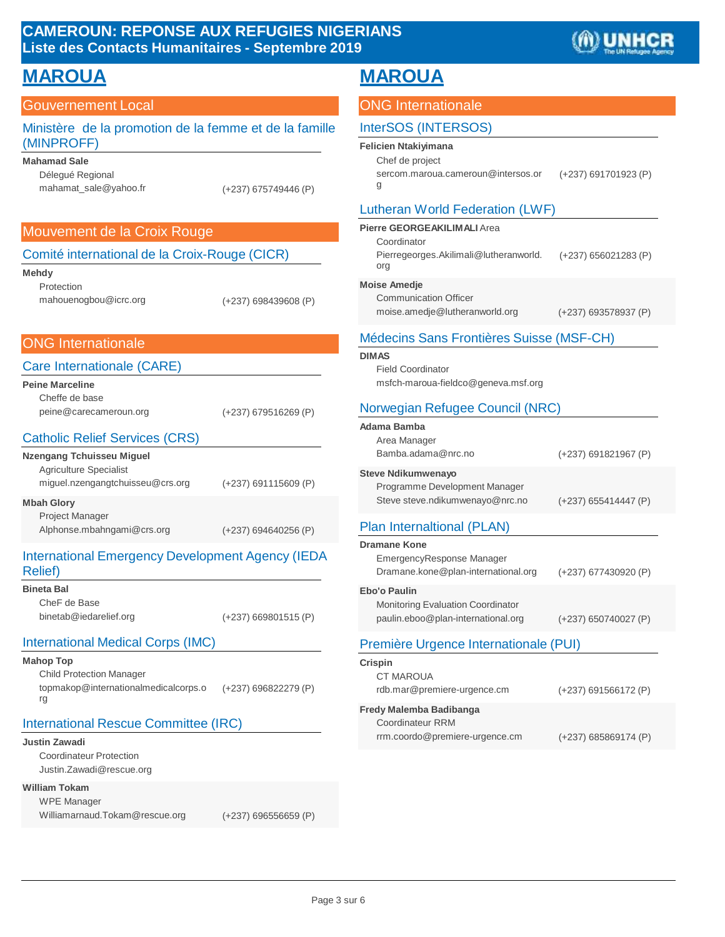# **CAMEROUN: REPONSE AUX REFUGIES NIGERIANS Liste des Contacts Humanitaires - Septembre 2019**



| <b>MAROUA</b>                                                                                     |                        | <b>MAROUA</b>                                                                                                                       |                        |
|---------------------------------------------------------------------------------------------------|------------------------|-------------------------------------------------------------------------------------------------------------------------------------|------------------------|
| <b>Gouvernement Local</b>                                                                         |                        | <b>ONG Internationale</b>                                                                                                           |                        |
| Ministère de la promotion de la femme et de la famille                                            |                        | <b>InterSOS (INTERSOS)</b>                                                                                                          |                        |
| (MINPROFF)<br><b>Mahamad Sale</b><br>Délegué Regional<br>mahamat_sale@yahoo.fr                    | (+237) 675749446 (P)   | <b>Felicien Ntakiyimana</b><br>Chef de project<br>sercom.maroua.cameroun@intersos.or<br>g<br><b>Lutheran World Federation (LWF)</b> | (+237) 691701923 (P)   |
| Mouvement de la Croix Rouge                                                                       |                        | Pierre GEORGEAKILIMALI Area                                                                                                         |                        |
| Comité international de la Croix-Rouge (CICR)<br><b>Mehdy</b>                                     |                        | Coordinator<br>Pierregeorges.Akilimali@lutheranworld.<br>org                                                                        | (+237) 656021283 (P)   |
| Protection<br>mahouenogbou@icrc.org                                                               | (+237) 698439608 (P)   | <b>Moise Amedje</b><br><b>Communication Officer</b><br>moise.amedje@lutheranworld.org                                               | (+237) 693578937 (P)   |
| <b>ONG Internationale</b>                                                                         |                        | Médecins Sans Frontières Suisse (MSF-CH)                                                                                            |                        |
| Care Internationale (CARE)<br><b>Peine Marceline</b>                                              |                        | <b>DIMAS</b><br><b>Field Coordinator</b><br>msfch-maroua-fieldco@geneva.msf.org                                                     |                        |
| Cheffe de base<br>peine@carecameroun.org                                                          | $(+237)$ 679516269 (P) | Norwegian Refugee Council (NRC)                                                                                                     |                        |
| <b>Catholic Relief Services (CRS)</b><br><b>Nzengang Tchuisseu Miguel</b>                         |                        | Adama Bamba<br>Area Manager<br>Bamba.adama@nrc.no                                                                                   | $(+237)$ 691821967 (P) |
| Agriculture Specialist<br>miguel.nzengangtchuisseu@crs.org                                        | (+237) 691115609 (P)   | <b>Steve Ndikumwenayo</b><br>Programme Development Manager                                                                          |                        |
| <b>Mbah Glory</b><br><b>Project Manager</b><br>Alphonse.mbahngami@crs.org                         | (+237) 694640256 (P)   | Steve steve.ndikumwenayo@nrc.no<br>Plan Internaltional (PLAN)                                                                       | $(+237)$ 655414447 (P) |
| <b>International Emergency Development Agency (IEDA</b><br><b>Relief</b> )                        |                        | <b>Dramane Kone</b><br>EmergencyResponse Manager<br>Dramane.kone@plan-international.org                                             | (+237) 677430920 (P)   |
| <b>Bineta Bal</b><br>CheF de Base<br>binetab@iedarelief.org                                       | $(+237)$ 669801515 (P) | <b>Ebo'o Paulin</b><br>Monitoring Evaluation Coordinator<br>paulin.eboo@plan-international.org                                      | $(+237)$ 650740027 (P) |
| <b>International Medical Corps (IMC)</b>                                                          |                        | Première Urgence Internationale (PUI)                                                                                               |                        |
| <b>Mahop Top</b><br><b>Child Protection Manager</b><br>topmakop@internationalmedicalcorps.o<br>rg | (+237) 696822279 (P)   | Crispin<br>CT MAROUA<br>rdb.mar@premiere-urgence.cm                                                                                 | $(+237)$ 691566172 (P) |
| International Rescue Committee (IRC)<br><b>Justin Zawadi</b>                                      |                        | Fredy Malemba Badibanga<br><b>Coordinateur RRM</b><br>rrm.coordo@premiere-urgence.cm                                                | $(+237)$ 685869174 (P) |
| <b>Coordinateur Protection</b><br>Justin.Zawadi@rescue.org                                        |                        |                                                                                                                                     |                        |
| <b>William Tokam</b><br><b>WPE Manager</b><br>Williamarnaud.Tokam@rescue.org                      | $(+237)$ 696556659 (P) |                                                                                                                                     |                        |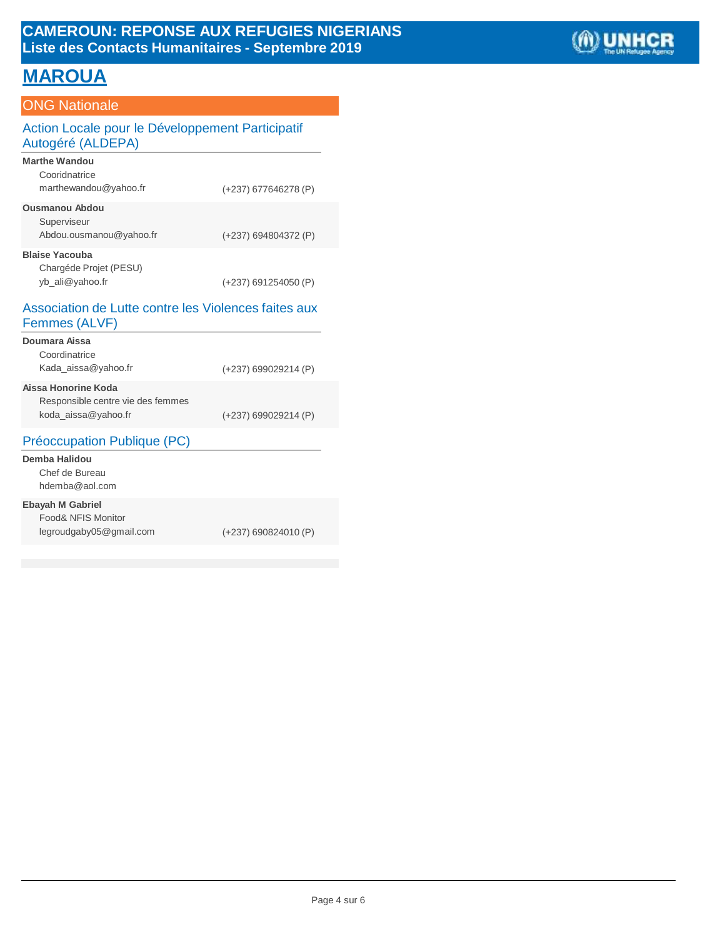# **MAROUA**

# ONG Nationale

# Action Locale pour le Développement Participatif Autogéré (ALDEPA)

| <b>Marthe Wandou</b><br>Cooridnatrice<br>marthewandou@yahoo.fr     | (+237) 677646278 (P)   |
|--------------------------------------------------------------------|------------------------|
| <b>Ousmanou Abdou</b><br>Superviseur<br>Abdou.ousmanou@yahoo.fr    | (+237) 694804372 (P)   |
| <b>Blaise Yacouba</b><br>Chargéde Projet (PESU)<br>yb_ali@yahoo.fr | $(+237)$ 691254050 (P) |

#### Association de Lutte contre les Violences faites aux Femmes (ALVF)

| Doumara Aissa                     |                        |
|-----------------------------------|------------------------|
| Coordinatrice                     |                        |
| Kada aissa@yahoo.fr               | (+237) 699029214 (P)   |
| Aissa Honorine Koda               |                        |
| Responsible centre vie des femmes |                        |
| koda_aissa@yahoo.fr               | $(+237)$ 699029214 (P) |
| Préoccupation Publique (PC)       |                        |
|                                   |                        |

#### **Demba Halidou** Chef de Burea[u](mailto:hdemba@aol.com) [hdemba@aol.com](mailto:hdemba@aol.com)

#### **Ebayah M Gabriel**

| Food& NFIS Monitor      |
|-------------------------|
| legroudgaby05@gmail.com |

(+237) 690824010 (P)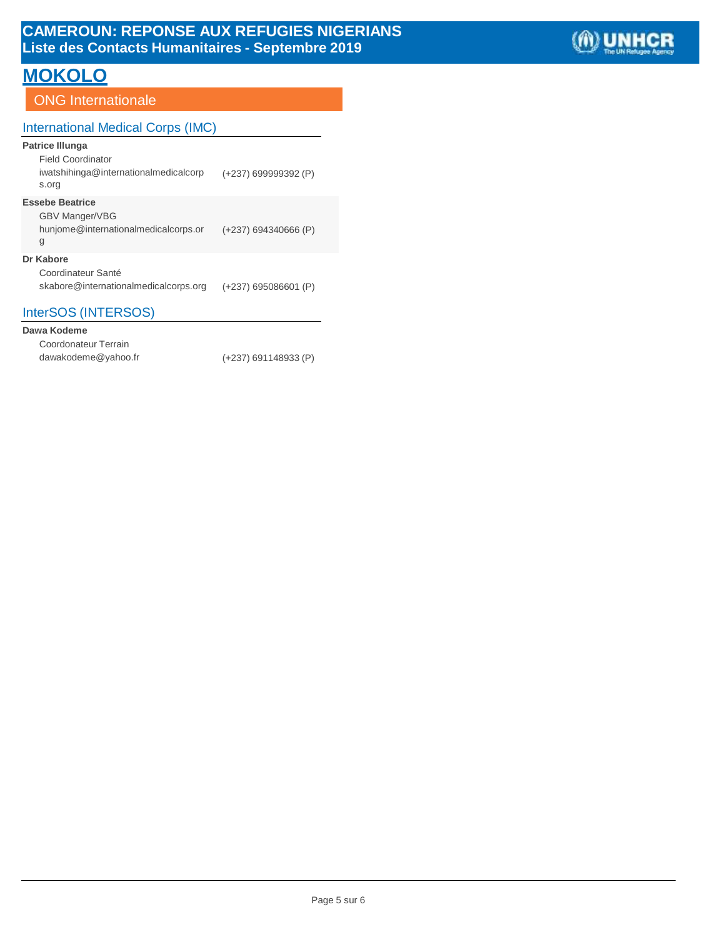# **MOKOLO**

# **ONG** Internationale

# International Medical Corps (IMC)

### **Patrice Illunga**

| <b>Field Coordinator</b>                       |                        |
|------------------------------------------------|------------------------|
| iwatshihinga@internationalmedicalcorp<br>s.org | $(+237)$ 699999392 (P) |

#### **Essebe Beatrice**

| <b>GBV Manger/VBG</b>                |                        |
|--------------------------------------|------------------------|
| hunjome@internationalmedicalcorps.or | $(+237)$ 694340666 (P) |
| g                                    |                        |

#### **Dr Kabore**

| Coordinateur Santé                    |                        |
|---------------------------------------|------------------------|
| skabore@internationalmedicalcorps.org | $(+237)$ 695086601 (P) |

# InterSOS (INTERSOS)

#### **Dawa Kodeme**

| Coordonateur Terrain |                        |
|----------------------|------------------------|
| dawakodeme@yahoo.fr  | $(+237)$ 691148933 (P) |